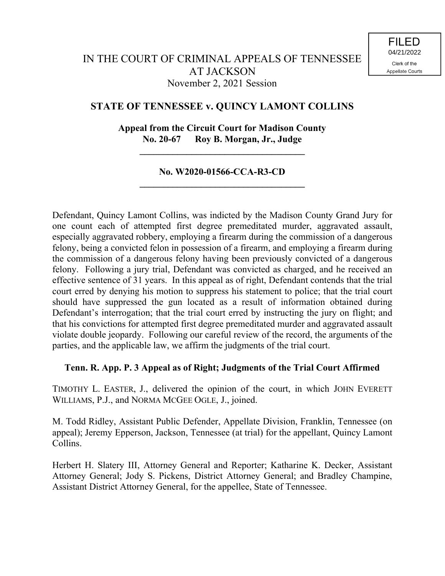# **STATE OF TENNESSEE v. QUINCY LAMONT COLLINS**

# **Appeal from the Circuit Court for Madison County No. 20-67 Roy B. Morgan, Jr., Judge**

**\_\_\_\_\_\_\_\_\_\_\_\_\_\_\_\_\_\_\_\_\_\_\_\_\_\_\_\_\_\_\_\_\_\_\_**

### **No. W2020-01566-CCA-R3-CD \_\_\_\_\_\_\_\_\_\_\_\_\_\_\_\_\_\_\_\_\_\_\_\_\_\_\_\_\_\_\_\_\_\_\_**

Defendant, Quincy Lamont Collins, was indicted by the Madison County Grand Jury for one count each of attempted first degree premeditated murder, aggravated assault, especially aggravated robbery, employing a firearm during the commission of a dangerous felony, being a convicted felon in possession of a firearm, and employing a firearm during the commission of a dangerous felony having been previously convicted of a dangerous felony. Following a jury trial, Defendant was convicted as charged, and he received an effective sentence of 31 years. In this appeal as of right, Defendant contends that the trial court erred by denying his motion to suppress his statement to police; that the trial court should have suppressed the gun located as a result of information obtained during Defendant's interrogation; that the trial court erred by instructing the jury on flight; and that his convictions for attempted first degree premeditated murder and aggravated assault violate double jeopardy. Following our careful review of the record, the arguments of the parties, and the applicable law, we affirm the judgments of the trial court.

### **Tenn. R. App. P. 3 Appeal as of Right; Judgments of the Trial Court Affirmed**

TIMOTHY L. EASTER, J., delivered the opinion of the court, in which JOHN EVERETT WILLIAMS, P.J., and NORMA MCGEE OGLE, J., joined.

M. Todd Ridley, Assistant Public Defender, Appellate Division, Franklin, Tennessee (on appeal); Jeremy Epperson, Jackson, Tennessee (at trial) for the appellant, Quincy Lamont Collins.

Herbert H. Slatery III, Attorney General and Reporter; Katharine K. Decker, Assistant Attorney General; Jody S. Pickens, District Attorney General; and Bradley Champine, Assistant District Attorney General, for the appellee, State of Tennessee.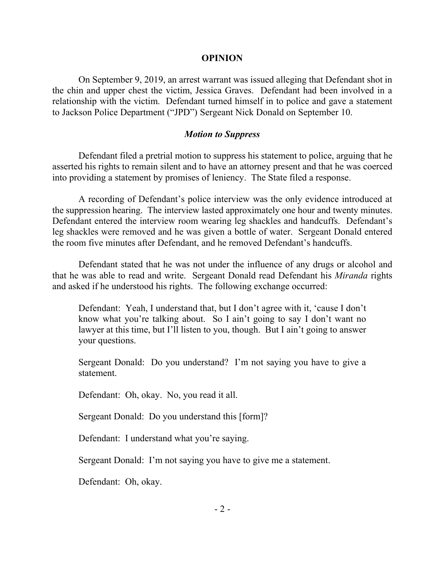#### **OPINION**

On September 9, 2019, an arrest warrant was issued alleging that Defendant shot in the chin and upper chest the victim, Jessica Graves. Defendant had been involved in a relationship with the victim. Defendant turned himself in to police and gave a statement to Jackson Police Department ("JPD") Sergeant Nick Donald on September 10.

#### *Motion to Suppress*

Defendant filed a pretrial motion to suppress his statement to police, arguing that he asserted his rights to remain silent and to have an attorney present and that he was coerced into providing a statement by promises of leniency. The State filed a response.

A recording of Defendant's police interview was the only evidence introduced at the suppression hearing. The interview lasted approximately one hour and twenty minutes. Defendant entered the interview room wearing leg shackles and handcuffs. Defendant's leg shackles were removed and he was given a bottle of water. Sergeant Donald entered the room five minutes after Defendant, and he removed Defendant's handcuffs.

Defendant stated that he was not under the influence of any drugs or alcohol and that he was able to read and write. Sergeant Donald read Defendant his *Miranda* rights and asked if he understood his rights. The following exchange occurred:

Defendant: Yeah, I understand that, but I don't agree with it, 'cause I don't know what you're talking about. So I ain't going to say I don't want no lawyer at this time, but I'll listen to you, though. But I ain't going to answer your questions.

Sergeant Donald: Do you understand? I'm not saying you have to give a statement.

Defendant: Oh, okay. No, you read it all.

Sergeant Donald: Do you understand this [form]?

Defendant: I understand what you're saying.

Sergeant Donald: I'm not saying you have to give me a statement.

Defendant: Oh, okay.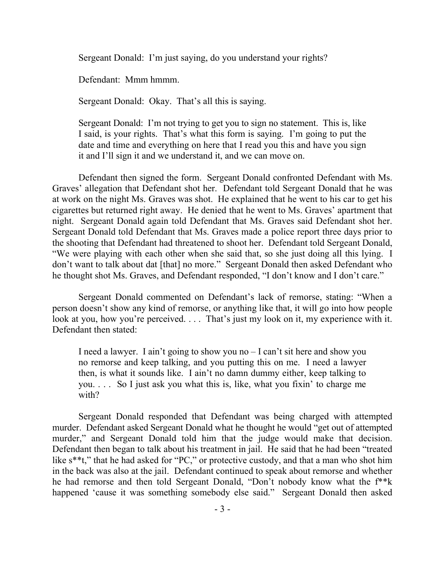Sergeant Donald: I'm just saying, do you understand your rights?

Defendant: Mmm hmmm.

Sergeant Donald: Okay. That's all this is saying.

Sergeant Donald: I'm not trying to get you to sign no statement. This is, like I said, is your rights. That's what this form is saying. I'm going to put the date and time and everything on here that I read you this and have you sign it and I'll sign it and we understand it, and we can move on.

Defendant then signed the form. Sergeant Donald confronted Defendant with Ms. Graves' allegation that Defendant shot her. Defendant told Sergeant Donald that he was at work on the night Ms. Graves was shot. He explained that he went to his car to get his cigarettes but returned right away. He denied that he went to Ms. Graves' apartment that night. Sergeant Donald again told Defendant that Ms. Graves said Defendant shot her. Sergeant Donald told Defendant that Ms. Graves made a police report three days prior to the shooting that Defendant had threatened to shoot her. Defendant told Sergeant Donald, "We were playing with each other when she said that, so she just doing all this lying. I don't want to talk about dat [that] no more." Sergeant Donald then asked Defendant who he thought shot Ms. Graves, and Defendant responded, "I don't know and I don't care."

Sergeant Donald commented on Defendant's lack of remorse, stating: "When a person doesn't show any kind of remorse, or anything like that, it will go into how people look at you, how you're perceived. . . . That's just my look on it, my experience with it. Defendant then stated:

I need a lawyer. I ain't going to show you no – I can't sit here and show you no remorse and keep talking, and you putting this on me. I need a lawyer then, is what it sounds like. I ain't no damn dummy either, keep talking to you. . . . So I just ask you what this is, like, what you fixin' to charge me with?

Sergeant Donald responded that Defendant was being charged with attempted murder. Defendant asked Sergeant Donald what he thought he would "get out of attempted murder," and Sergeant Donald told him that the judge would make that decision. Defendant then began to talk about his treatment in jail. He said that he had been "treated like s<sup>\*\*t</sup>," that he had asked for "PC," or protective custody, and that a man who shot him in the back was also at the jail. Defendant continued to speak about remorse and whether he had remorse and then told Sergeant Donald, "Don't nobody know what the f\*\*k happened 'cause it was something somebody else said." Sergeant Donald then asked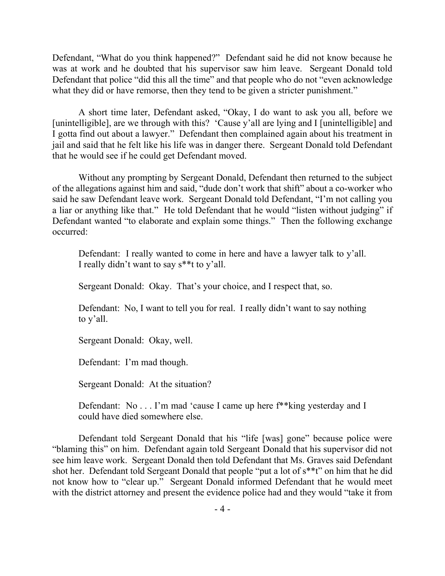Defendant, "What do you think happened?" Defendant said he did not know because he was at work and he doubted that his supervisor saw him leave. Sergeant Donald told Defendant that police "did this all the time" and that people who do not "even acknowledge what they did or have remorse, then they tend to be given a stricter punishment."

A short time later, Defendant asked, "Okay, I do want to ask you all, before we [unintelligible], are we through with this? 'Cause y'all are lying and I [unintelligible] and I gotta find out about a lawyer." Defendant then complained again about his treatment in jail and said that he felt like his life was in danger there. Sergeant Donald told Defendant that he would see if he could get Defendant moved.

Without any prompting by Sergeant Donald, Defendant then returned to the subject of the allegations against him and said, "dude don't work that shift" about a co-worker who said he saw Defendant leave work. Sergeant Donald told Defendant, "I'm not calling you a liar or anything like that." He told Defendant that he would "listen without judging" if Defendant wanted "to elaborate and explain some things." Then the following exchange occurred:

Defendant: I really wanted to come in here and have a lawyer talk to y'all. I really didn't want to say s\*\*t to y'all.

Sergeant Donald: Okay. That's your choice, and I respect that, so.

Defendant: No, I want to tell you for real. I really didn't want to say nothing to y'all.

Sergeant Donald: Okay, well.

Defendant: I'm mad though.

Sergeant Donald: At the situation?

Defendant: No . . . I'm mad 'cause I came up here f\*\*king yesterday and I could have died somewhere else.

Defendant told Sergeant Donald that his "life [was] gone" because police were "blaming this" on him. Defendant again told Sergeant Donald that his supervisor did not see him leave work. Sergeant Donald then told Defendant that Ms. Graves said Defendant shot her. Defendant told Sergeant Donald that people "put a lot of s\*\*t" on him that he did not know how to "clear up." Sergeant Donald informed Defendant that he would meet with the district attorney and present the evidence police had and they would "take it from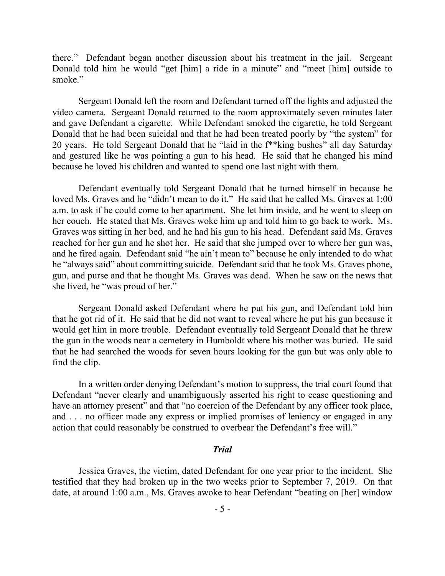there." Defendant began another discussion about his treatment in the jail. Sergeant Donald told him he would "get [him] a ride in a minute" and "meet [him] outside to smoke."

Sergeant Donald left the room and Defendant turned off the lights and adjusted the video camera. Sergeant Donald returned to the room approximately seven minutes later and gave Defendant a cigarette. While Defendant smoked the cigarette, he told Sergeant Donald that he had been suicidal and that he had been treated poorly by "the system" for 20 years. He told Sergeant Donald that he "laid in the f\*\*king bushes" all day Saturday and gestured like he was pointing a gun to his head. He said that he changed his mind because he loved his children and wanted to spend one last night with them.

Defendant eventually told Sergeant Donald that he turned himself in because he loved Ms. Graves and he "didn't mean to do it." He said that he called Ms. Graves at 1:00 a.m. to ask if he could come to her apartment. She let him inside, and he went to sleep on her couch. He stated that Ms. Graves woke him up and told him to go back to work. Ms. Graves was sitting in her bed, and he had his gun to his head. Defendant said Ms. Graves reached for her gun and he shot her. He said that she jumped over to where her gun was, and he fired again. Defendant said "he ain't mean to" because he only intended to do what he "always said" about committing suicide. Defendant said that he took Ms. Graves phone, gun, and purse and that he thought Ms. Graves was dead. When he saw on the news that she lived, he "was proud of her."

Sergeant Donald asked Defendant where he put his gun, and Defendant told him that he got rid of it. He said that he did not want to reveal where he put his gun because it would get him in more trouble. Defendant eventually told Sergeant Donald that he threw the gun in the woods near a cemetery in Humboldt where his mother was buried. He said that he had searched the woods for seven hours looking for the gun but was only able to find the clip.

In a written order denying Defendant's motion to suppress, the trial court found that Defendant "never clearly and unambiguously asserted his right to cease questioning and have an attorney present" and that "no coercion of the Defendant by any officer took place, and . . . no officer made any express or implied promises of leniency or engaged in any action that could reasonably be construed to overbear the Defendant's free will."

### *Trial*

Jessica Graves, the victim, dated Defendant for one year prior to the incident. She testified that they had broken up in the two weeks prior to September 7, 2019. On that date, at around 1:00 a.m., Ms. Graves awoke to hear Defendant "beating on [her] window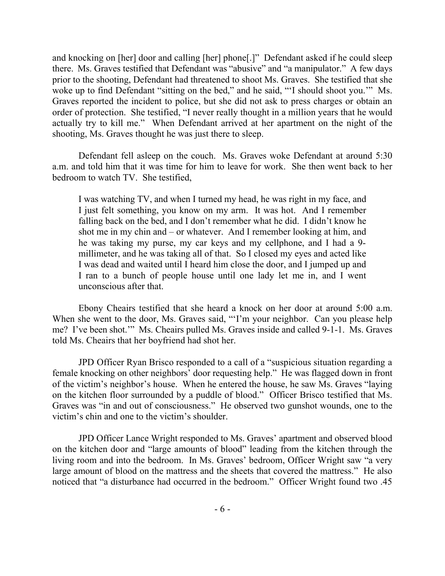and knocking on [her] door and calling [her] phone[.]" Defendant asked if he could sleep there. Ms. Graves testified that Defendant was "abusive" and "a manipulator." A few days prior to the shooting, Defendant had threatened to shoot Ms. Graves. She testified that she woke up to find Defendant "sitting on the bed," and he said, "'I should shoot you.'" Ms. Graves reported the incident to police, but she did not ask to press charges or obtain an order of protection. She testified, "I never really thought in a million years that he would actually try to kill me." When Defendant arrived at her apartment on the night of the shooting, Ms. Graves thought he was just there to sleep.

Defendant fell asleep on the couch. Ms. Graves woke Defendant at around 5:30 a.m. and told him that it was time for him to leave for work. She then went back to her bedroom to watch TV. She testified,

I was watching TV, and when I turned my head, he was right in my face, and I just felt something, you know on my arm. It was hot. And I remember falling back on the bed, and I don't remember what he did. I didn't know he shot me in my chin and – or whatever. And I remember looking at him, and he was taking my purse, my car keys and my cellphone, and I had a 9 millimeter, and he was taking all of that. So I closed my eyes and acted like I was dead and waited until I heard him close the door, and I jumped up and I ran to a bunch of people house until one lady let me in, and I went unconscious after that.

Ebony Cheairs testified that she heard a knock on her door at around 5:00 a.m. When she went to the door, Ms. Graves said, "'I'm your neighbor. Can you please help me? I've been shot.'" Ms. Cheairs pulled Ms. Graves inside and called 9-1-1. Ms. Graves told Ms. Cheairs that her boyfriend had shot her.

JPD Officer Ryan Brisco responded to a call of a "suspicious situation regarding a female knocking on other neighbors' door requesting help." He was flagged down in front of the victim's neighbor's house. When he entered the house, he saw Ms. Graves "laying on the kitchen floor surrounded by a puddle of blood." Officer Brisco testified that Ms. Graves was "in and out of consciousness." He observed two gunshot wounds, one to the victim's chin and one to the victim's shoulder.

JPD Officer Lance Wright responded to Ms. Graves' apartment and observed blood on the kitchen door and "large amounts of blood" leading from the kitchen through the living room and into the bedroom. In Ms. Graves' bedroom, Officer Wright saw "a very large amount of blood on the mattress and the sheets that covered the mattress." He also noticed that "a disturbance had occurred in the bedroom." Officer Wright found two .45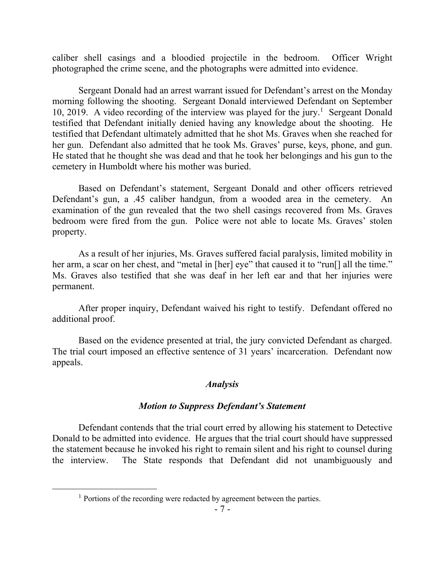caliber shell casings and a bloodied projectile in the bedroom. Officer Wright photographed the crime scene, and the photographs were admitted into evidence.

Sergeant Donald had an arrest warrant issued for Defendant's arrest on the Monday morning following the shooting. Sergeant Donald interviewed Defendant on September 10, 2019. A video recording of the interview was played for the jury.<sup>1</sup> Sergeant Donald testified that Defendant initially denied having any knowledge about the shooting. He testified that Defendant ultimately admitted that he shot Ms. Graves when she reached for her gun. Defendant also admitted that he took Ms. Graves' purse, keys, phone, and gun. He stated that he thought she was dead and that he took her belongings and his gun to the cemetery in Humboldt where his mother was buried.

Based on Defendant's statement, Sergeant Donald and other officers retrieved Defendant's gun, a .45 caliber handgun, from a wooded area in the cemetery. An examination of the gun revealed that the two shell casings recovered from Ms. Graves bedroom were fired from the gun. Police were not able to locate Ms. Graves' stolen property.

As a result of her injuries, Ms. Graves suffered facial paralysis, limited mobility in her arm, a scar on her chest, and "metal in [her] eye" that caused it to "run[] all the time." Ms. Graves also testified that she was deaf in her left ear and that her injuries were permanent.

After proper inquiry, Defendant waived his right to testify. Defendant offered no additional proof.

Based on the evidence presented at trial, the jury convicted Defendant as charged. The trial court imposed an effective sentence of 31 years' incarceration. Defendant now appeals.

### *Analysis*

### *Motion to Suppress Defendant's Statement*

Defendant contends that the trial court erred by allowing his statement to Detective Donald to be admitted into evidence. He argues that the trial court should have suppressed the statement because he invoked his right to remain silent and his right to counsel during the interview. The State responds that Defendant did not unambiguously and

 $\overline{a}$ 

<sup>&</sup>lt;sup>1</sup> Portions of the recording were redacted by agreement between the parties.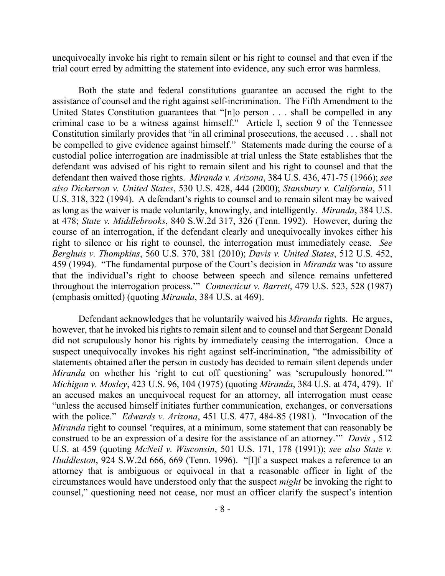unequivocally invoke his right to remain silent or his right to counsel and that even if the trial court erred by admitting the statement into evidence, any such error was harmless.

Both the state and federal constitutions guarantee an accused the right to the assistance of counsel and the right against self-incrimination. The Fifth Amendment to the United States Constitution guarantees that "[n]o person . . . shall be compelled in any criminal case to be a witness against himself." Article I, section 9 of the Tennessee Constitution similarly provides that "in all criminal prosecutions, the accused . . . shall not be compelled to give evidence against himself." Statements made during the course of a custodial police interrogation are inadmissible at trial unless the State establishes that the defendant was advised of his right to remain silent and his right to counsel and that the defendant then waived those rights. *Miranda v. Arizona*, 384 U.S. 436, 471-75 (1966); *see also Dickerson v. United States*, 530 U.S. 428, 444 (2000); *Stansbury v. California*, 511 U.S. 318, 322 (1994). A defendant's rights to counsel and to remain silent may be waived as long as the waiver is made voluntarily, knowingly, and intelligently. *Miranda*, 384 U.S. at 478; *State v. Middlebrooks*, 840 S.W.2d 317, 326 (Tenn. 1992). However, during the course of an interrogation, if the defendant clearly and unequivocally invokes either his right to silence or his right to counsel, the interrogation must immediately cease. *See Berghuis v. Thompkins*, 560 U.S. 370, 381 (2010); *Davis v. United States*, 512 U.S. 452, 459 (1994). "The fundamental purpose of the Court's decision in *Miranda* was 'to assure that the individual's right to choose between speech and silence remains unfettered throughout the interrogation process.'" *Connecticut v. Barrett*, 479 U.S. 523, 528 (1987) (emphasis omitted) (quoting *Miranda*, 384 U.S. at 469).

Defendant acknowledges that he voluntarily waived his *Miranda* rights. He argues, however, that he invoked his rights to remain silent and to counsel and that Sergeant Donald did not scrupulously honor his rights by immediately ceasing the interrogation. Once a suspect unequivocally invokes his right against self-incrimination, "the admissibility of statements obtained after the person in custody has decided to remain silent depends under *Miranda* on whether his 'right to cut off questioning' was 'scrupulously honored.'" *Michigan v. Mosley*, 423 U.S. 96, 104 (1975) (quoting *Miranda*, 384 U.S. at 474, 479). If an accused makes an unequivocal request for an attorney, all interrogation must cease "unless the accused himself initiates further communication, exchanges, or conversations with the police." *Edwards v. Arizona*, 451 U.S. 477, 484-85 (1981). "Invocation of the *Miranda* right to counsel 'requires, at a minimum, some statement that can reasonably be construed to be an expression of a desire for the assistance of an attorney.'" *Davis* , 512 U.S. at 459 (quoting *McNeil v. Wisconsin*, 501 U.S. 171, 178 (1991)); *see also State v. Huddleston*, 924 S.W.2d 666, 669 (Tenn. 1996). "[I]f a suspect makes a reference to an attorney that is ambiguous or equivocal in that a reasonable officer in light of the circumstances would have understood only that the suspect *might* be invoking the right to counsel," questioning need not cease, nor must an officer clarify the suspect's intention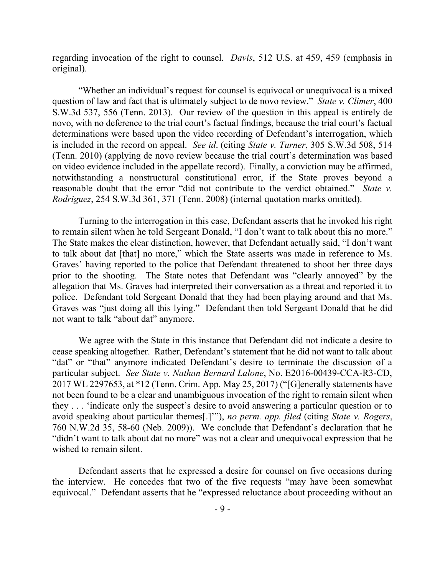regarding invocation of the right to counsel. *Davis*, 512 U.S. at 459, 459 (emphasis in original).

"Whether an individual's request for counsel is equivocal or unequivocal is a mixed question of law and fact that is ultimately subject to de novo review." *State v. Climer*, 400 S.W.3d 537, 556 (Tenn. 2013). Our review of the question in this appeal is entirely de novo, with no deference to the trial court's factual findings, because the trial court's factual determinations were based upon the video recording of Defendant's interrogation, which is included in the record on appeal. *See id*. (citing *State v. Turner*, 305 S.W.3d 508, 514 (Tenn. 2010) (applying de novo review because the trial court's determination was based on video evidence included in the appellate record). Finally, a conviction may be affirmed, notwithstanding a nonstructural constitutional error, if the State proves beyond a reasonable doubt that the error "did not contribute to the verdict obtained." *State v. Rodriguez*, 254 S.W.3d 361, 371 (Tenn. 2008) (internal quotation marks omitted).

Turning to the interrogation in this case, Defendant asserts that he invoked his right to remain silent when he told Sergeant Donald, "I don't want to talk about this no more." The State makes the clear distinction, however, that Defendant actually said, "I don't want to talk about dat [that] no more," which the State asserts was made in reference to Ms. Graves' having reported to the police that Defendant threatened to shoot her three days prior to the shooting. The State notes that Defendant was "clearly annoyed" by the allegation that Ms. Graves had interpreted their conversation as a threat and reported it to police. Defendant told Sergeant Donald that they had been playing around and that Ms. Graves was "just doing all this lying." Defendant then told Sergeant Donald that he did not want to talk "about dat" anymore.

We agree with the State in this instance that Defendant did not indicate a desire to cease speaking altogether. Rather, Defendant's statement that he did not want to talk about "dat" or "that" anymore indicated Defendant's desire to terminate the discussion of a particular subject. *See State v. Nathan Bernard Lalone*, No. E2016-00439-CCA-R3-CD, 2017 WL 2297653, at \*12 (Tenn. Crim. App. May 25, 2017) ("[G]enerally statements have not been found to be a clear and unambiguous invocation of the right to remain silent when they . . . 'indicate only the suspect's desire to avoid answering a particular question or to avoid speaking about particular themes[.]'"), *no perm. app. filed* (citing *State v. Rogers*, 760 N.W.2d 35, 58-60 (Neb. 2009)). We conclude that Defendant's declaration that he "didn't want to talk about dat no more" was not a clear and unequivocal expression that he wished to remain silent.

Defendant asserts that he expressed a desire for counsel on five occasions during the interview. He concedes that two of the five requests "may have been somewhat equivocal." Defendant asserts that he "expressed reluctance about proceeding without an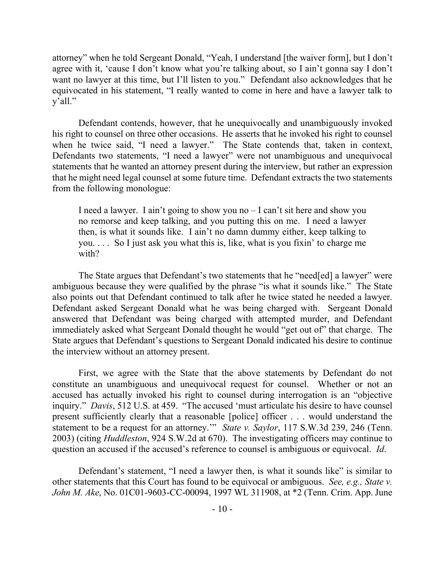attorney" when he told Sergeant Donald, "Yeah, I understand [the waiver form], but I don't agree with it, 'cause I don't know what you're talking about, so I ain't gonna say I don't want no lawyer at this time, but I'll listen to you." Defendant also acknowledges that he equivocated in his statement, "I really wanted to come in here and have a lawyer talk to y'all."

Defendant contends, however, that he unequivocally and unambiguously invoked his right to counsel on three other occasions. He asserts that he invoked his right to counsel when he twice said, "I need a lawyer." The State contends that, taken in context, Defendants two statements, "I need a lawyer" were not unambiguous and unequivocal statements that he wanted an attorney present during the interview, but rather an expression that he might need legal counsel at some future time. Defendant extracts the two statements from the following monologue:

I need a lawyer. I ain't going to show you no – I can't sit here and show you no remorse and keep talking, and you putting this on me. I need a lawyer then, is what it sounds like. I ain't no damn dummy either, keep talking to you. . . . So I just ask you what this is, like, what is you fixin' to charge me with?

The State argues that Defendant's two statements that he "need[ed] a lawyer" were ambiguous because they were qualified by the phrase "is what it sounds like." The State also points out that Defendant continued to talk after he twice stated he needed a lawyer. Defendant asked Sergeant Donald what he was being charged with. Sergeant Donald answered that Defendant was being charged with attempted murder, and Defendant immediately asked what Sergeant Donald thought he would "get out of" that charge. The State argues that Defendant's questions to Sergeant Donald indicated his desire to continue the interview without an attorney present.

First, we agree with the State that the above statements by Defendant do not constitute an unambiguous and unequivocal request for counsel. Whether or not an accused has actually invoked his right to counsel during interrogation is an "objective inquiry." *Davis*, 512 U.S. at 459. "The accused 'must articulate his desire to have counsel present sufficiently clearly that a reasonable [police] officer . . . would understand the statement to be a request for an attorney.'" *State v. Saylor*, 117 S.W.3d 239, 246 (Tenn. 2003) (citing *Huddleston*, 924 S.W.2d at 670). The investigating officers may continue to question an accused if the accused's reference to counsel is ambiguous or equivocal. *Id*.

Defendant's statement, "I need a lawyer then, is what it sounds like" is similar to other statements that this Court has found to be equivocal or ambiguous. *See, e.g., State v. John M. Ake*, No. 01C01-9603-CC-00094, 1997 WL 311908, at \*2 (Tenn. Crim. App. June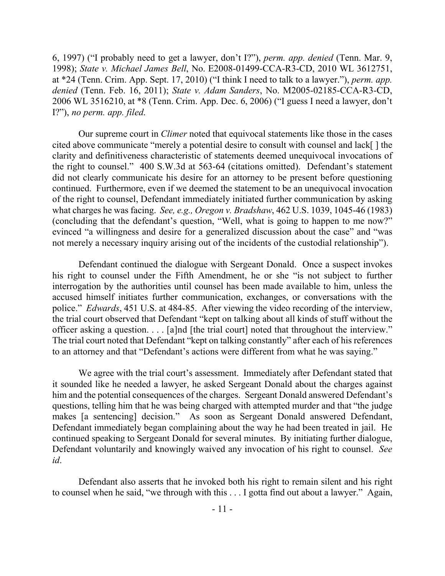6, 1997) ("I probably need to get a lawyer, don't I?"), *perm. app. denied* (Tenn. Mar. 9, 1998); *State v. Michael James Bell*, No. E2008-01499-CCA-R3-CD, 2010 WL 3612751, at \*24 (Tenn. Crim. App. Sept. 17, 2010) ("I think I need to talk to a lawyer."), *perm. app. denied* (Tenn. Feb. 16, 2011); *State v. Adam Sanders*, No. M2005-02185-CCA-R3-CD, 2006 WL 3516210, at \*8 (Tenn. Crim. App. Dec. 6, 2006) ("I guess I need a lawyer, don't I?"), *no perm. app. filed*.

Our supreme court in *Climer* noted that equivocal statements like those in the cases cited above communicate "merely a potential desire to consult with counsel and lack[ ] the clarity and definitiveness characteristic of statements deemed unequivocal invocations of the right to counsel." 400 S.W.3d at 563-64 (citations omitted). Defendant's statement did not clearly communicate his desire for an attorney to be present before questioning continued. Furthermore, even if we deemed the statement to be an unequivocal invocation of the right to counsel, Defendant immediately initiated further communication by asking what charges he was facing. *See, e.g., Oregon v. Bradshaw*, 462 U.S. 1039, 1045-46 (1983) (concluding that the defendant's question, "Well, what is going to happen to me now?" evinced "a willingness and desire for a generalized discussion about the case" and "was not merely a necessary inquiry arising out of the incidents of the custodial relationship").

Defendant continued the dialogue with Sergeant Donald. Once a suspect invokes his right to counsel under the Fifth Amendment, he or she "is not subject to further interrogation by the authorities until counsel has been made available to him, unless the accused himself initiates further communication, exchanges, or conversations with the police." *Edwards*, 451 U.S. at 484-85. After viewing the video recording of the interview, the trial court observed that Defendant "kept on talking about all kinds of stuff without the officer asking a question. . . . [a]nd [the trial court] noted that throughout the interview." The trial court noted that Defendant "kept on talking constantly" after each of his references to an attorney and that "Defendant's actions were different from what he was saying."

We agree with the trial court's assessment. Immediately after Defendant stated that it sounded like he needed a lawyer, he asked Sergeant Donald about the charges against him and the potential consequences of the charges. Sergeant Donald answered Defendant's questions, telling him that he was being charged with attempted murder and that "the judge makes [a sentencing] decision." As soon as Sergeant Donald answered Defendant, Defendant immediately began complaining about the way he had been treated in jail. He continued speaking to Sergeant Donald for several minutes. By initiating further dialogue, Defendant voluntarily and knowingly waived any invocation of his right to counsel. *See id*.

Defendant also asserts that he invoked both his right to remain silent and his right to counsel when he said, "we through with this . . . I gotta find out about a lawyer." Again,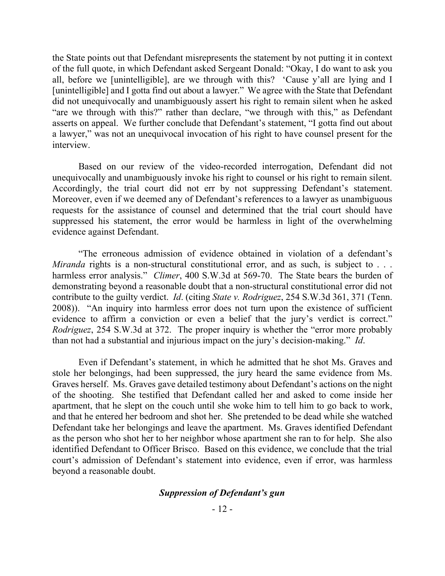the State points out that Defendant misrepresents the statement by not putting it in context of the full quote, in which Defendant asked Sergeant Donald: "Okay, I do want to ask you all, before we [unintelligible], are we through with this? 'Cause y'all are lying and I [unintelligible] and I gotta find out about a lawyer." We agree with the State that Defendant did not unequivocally and unambiguously assert his right to remain silent when he asked "are we through with this?" rather than declare, "we through with this," as Defendant asserts on appeal. We further conclude that Defendant's statement, "I gotta find out about a lawyer," was not an unequivocal invocation of his right to have counsel present for the interview.

Based on our review of the video-recorded interrogation, Defendant did not unequivocally and unambiguously invoke his right to counsel or his right to remain silent. Accordingly, the trial court did not err by not suppressing Defendant's statement. Moreover, even if we deemed any of Defendant's references to a lawyer as unambiguous requests for the assistance of counsel and determined that the trial court should have suppressed his statement, the error would be harmless in light of the overwhelming evidence against Defendant.

"The erroneous admission of evidence obtained in violation of a defendant's *Miranda* rights is a non-structural constitutional error, and as such, is subject to . . . harmless error analysis." *Climer*, 400 S.W.3d at 569-70. The State bears the burden of demonstrating beyond a reasonable doubt that a non-structural constitutional error did not contribute to the guilty verdict. *Id*. (citing *State v. Rodriguez*, 254 S.W.3d 361, 371 (Tenn. 2008)). "An inquiry into harmless error does not turn upon the existence of sufficient evidence to affirm a conviction or even a belief that the jury's verdict is correct." *Rodriguez*, 254 S.W.3d at 372. The proper inquiry is whether the "error more probably than not had a substantial and injurious impact on the jury's decision-making." *Id*.

Even if Defendant's statement, in which he admitted that he shot Ms. Graves and stole her belongings, had been suppressed, the jury heard the same evidence from Ms. Graves herself. Ms. Graves gave detailed testimony about Defendant's actions on the night of the shooting. She testified that Defendant called her and asked to come inside her apartment, that he slept on the couch until she woke him to tell him to go back to work, and that he entered her bedroom and shot her. She pretended to be dead while she watched Defendant take her belongings and leave the apartment. Ms. Graves identified Defendant as the person who shot her to her neighbor whose apartment she ran to for help. She also identified Defendant to Officer Brisco. Based on this evidence, we conclude that the trial court's admission of Defendant's statement into evidence, even if error, was harmless beyond a reasonable doubt.

### *Suppression of Defendant's gun*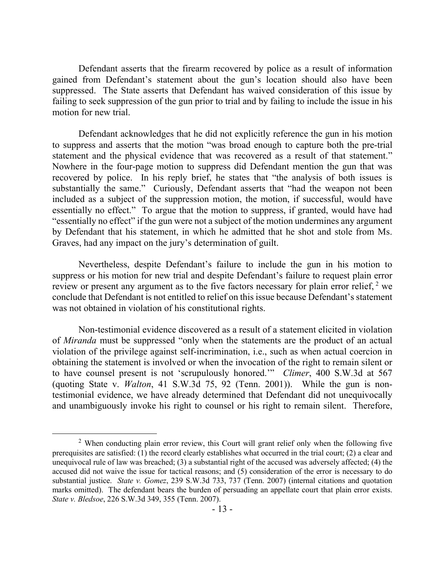Defendant asserts that the firearm recovered by police as a result of information gained from Defendant's statement about the gun's location should also have been suppressed. The State asserts that Defendant has waived consideration of this issue by failing to seek suppression of the gun prior to trial and by failing to include the issue in his motion for new trial.

Defendant acknowledges that he did not explicitly reference the gun in his motion to suppress and asserts that the motion "was broad enough to capture both the pre-trial statement and the physical evidence that was recovered as a result of that statement." Nowhere in the four-page motion to suppress did Defendant mention the gun that was recovered by police. In his reply brief, he states that "the analysis of both issues is substantially the same." Curiously, Defendant asserts that "had the weapon not been included as a subject of the suppression motion, the motion, if successful, would have essentially no effect." To argue that the motion to suppress, if granted, would have had "essentially no effect" if the gun were not a subject of the motion undermines any argument by Defendant that his statement, in which he admitted that he shot and stole from Ms. Graves, had any impact on the jury's determination of guilt.

Nevertheless, despite Defendant's failure to include the gun in his motion to suppress or his motion for new trial and despite Defendant's failure to request plain error review or present any argument as to the five factors necessary for plain error relief, <sup>2</sup> we conclude that Defendant is not entitled to relief on this issue because Defendant's statement was not obtained in violation of his constitutional rights.

Non-testimonial evidence discovered as a result of a statement elicited in violation of *Miranda* must be suppressed "only when the statements are the product of an actual violation of the privilege against self-incrimination, i.e., such as when actual coercion in obtaining the statement is involved or when the invocation of the right to remain silent or to have counsel present is not 'scrupulously honored.'" *Climer*, 400 S.W.3d at 567 (quoting State v. *Walton*, 41 S.W.3d 75, 92 (Tenn. 2001)). While the gun is nontestimonial evidence, we have already determined that Defendant did not unequivocally and unambiguously invoke his right to counsel or his right to remain silent. Therefore,

 $\overline{a}$ 

 $2$  When conducting plain error review, this Court will grant relief only when the following five prerequisites are satisfied: (1) the record clearly establishes what occurred in the trial court; (2) a clear and unequivocal rule of law was breached; (3) a substantial right of the accused was adversely affected; (4) the accused did not waive the issue for tactical reasons; and (5) consideration of the error is necessary to do substantial justice. *State v. Gomez*, 239 S.W.3d 733, 737 (Tenn. 2007) (internal citations and quotation marks omitted). The defendant bears the burden of persuading an appellate court that plain error exists. *State v. Bledsoe*, 226 S.W.3d 349, 355 (Tenn. 2007).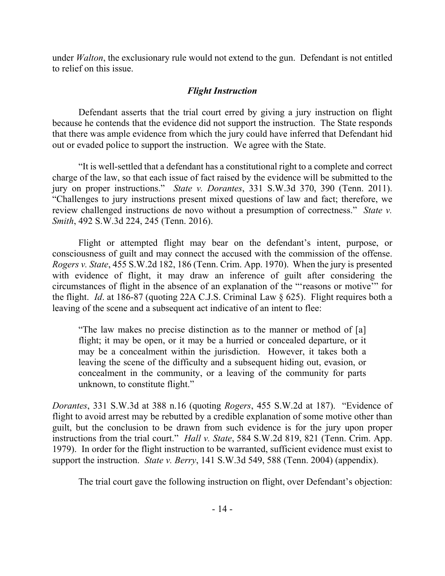under *Walton*, the exclusionary rule would not extend to the gun. Defendant is not entitled to relief on this issue.

# *Flight Instruction*

Defendant asserts that the trial court erred by giving a jury instruction on flight because he contends that the evidence did not support the instruction. The State responds that there was ample evidence from which the jury could have inferred that Defendant hid out or evaded police to support the instruction. We agree with the State.

"It is well-settled that a defendant has a constitutional right to a complete and correct charge of the law, so that each issue of fact raised by the evidence will be submitted to the jury on proper instructions." *State v. Dorantes*, 331 S.W.3d 370, 390 (Tenn. 2011). "Challenges to jury instructions present mixed questions of law and fact; therefore, we review challenged instructions de novo without a presumption of correctness." *State v. Smith*, 492 S.W.3d 224, 245 (Tenn. 2016).

Flight or attempted flight may bear on the defendant's intent, purpose, or consciousness of guilt and may connect the accused with the commission of the offense. *Rogers v. State*, 455 S.W.2d 182, 186 (Tenn. Crim. App. 1970). When the jury is presented with evidence of flight, it may draw an inference of guilt after considering the circumstances of flight in the absence of an explanation of the "'reasons or motive'" for the flight. *Id*. at 186-87 (quoting 22A C.J.S. Criminal Law § 625). Flight requires both a leaving of the scene and a subsequent act indicative of an intent to flee:

"The law makes no precise distinction as to the manner or method of [a] flight; it may be open, or it may be a hurried or concealed departure, or it may be a concealment within the jurisdiction. However, it takes both a leaving the scene of the difficulty and a subsequent hiding out, evasion, or concealment in the community, or a leaving of the community for parts unknown, to constitute flight."

*Dorantes*, 331 S.W.3d at 388 n.16 (quoting *Rogers*, 455 S.W.2d at 187). "Evidence of flight to avoid arrest may be rebutted by a credible explanation of some motive other than guilt, but the conclusion to be drawn from such evidence is for the jury upon proper instructions from the trial court." *Hall v. State*, 584 S.W.2d 819, 821 (Tenn. Crim. App. 1979). In order for the flight instruction to be warranted, sufficient evidence must exist to support the instruction. *State v. Berry*, 141 S.W.3d 549, 588 (Tenn. 2004) (appendix).

The trial court gave the following instruction on flight, over Defendant's objection: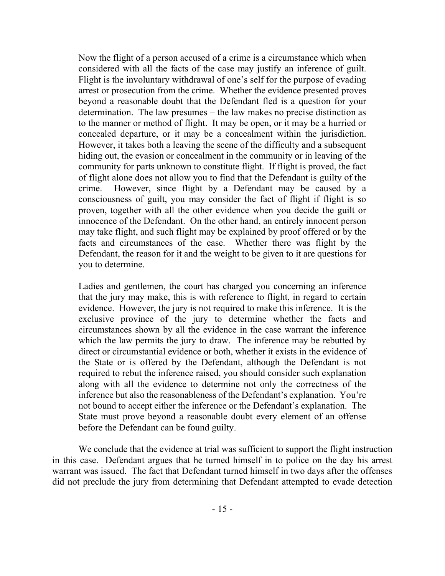Now the flight of a person accused of a crime is a circumstance which when considered with all the facts of the case may justify an inference of guilt. Flight is the involuntary withdrawal of one's self for the purpose of evading arrest or prosecution from the crime. Whether the evidence presented proves beyond a reasonable doubt that the Defendant fled is a question for your determination. The law presumes – the law makes no precise distinction as to the manner or method of flight. It may be open, or it may be a hurried or concealed departure, or it may be a concealment within the jurisdiction. However, it takes both a leaving the scene of the difficulty and a subsequent hiding out, the evasion or concealment in the community or in leaving of the community for parts unknown to constitute flight. If flight is proved, the fact of flight alone does not allow you to find that the Defendant is guilty of the crime. However, since flight by a Defendant may be caused by a consciousness of guilt, you may consider the fact of flight if flight is so proven, together with all the other evidence when you decide the guilt or innocence of the Defendant. On the other hand, an entirely innocent person may take flight, and such flight may be explained by proof offered or by the facts and circumstances of the case. Whether there was flight by the Defendant, the reason for it and the weight to be given to it are questions for you to determine.

Ladies and gentlemen, the court has charged you concerning an inference that the jury may make, this is with reference to flight, in regard to certain evidence. However, the jury is not required to make this inference. It is the exclusive province of the jury to determine whether the facts and circumstances shown by all the evidence in the case warrant the inference which the law permits the jury to draw. The inference may be rebutted by direct or circumstantial evidence or both, whether it exists in the evidence of the State or is offered by the Defendant, although the Defendant is not required to rebut the inference raised, you should consider such explanation along with all the evidence to determine not only the correctness of the inference but also the reasonableness of the Defendant's explanation. You're not bound to accept either the inference or the Defendant's explanation. The State must prove beyond a reasonable doubt every element of an offense before the Defendant can be found guilty.

We conclude that the evidence at trial was sufficient to support the flight instruction in this case. Defendant argues that he turned himself in to police on the day his arrest warrant was issued. The fact that Defendant turned himself in two days after the offenses did not preclude the jury from determining that Defendant attempted to evade detection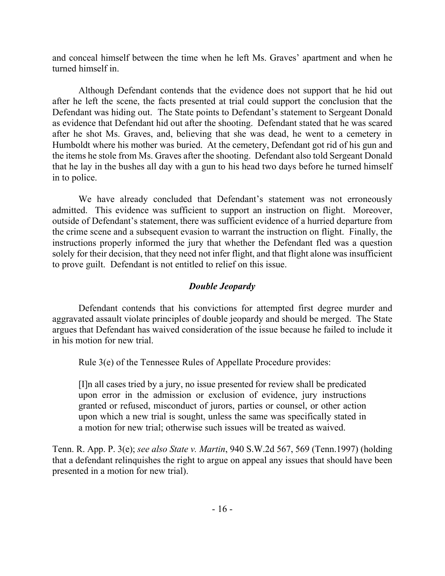and conceal himself between the time when he left Ms. Graves' apartment and when he turned himself in.

Although Defendant contends that the evidence does not support that he hid out after he left the scene, the facts presented at trial could support the conclusion that the Defendant was hiding out. The State points to Defendant's statement to Sergeant Donald as evidence that Defendant hid out after the shooting. Defendant stated that he was scared after he shot Ms. Graves, and, believing that she was dead, he went to a cemetery in Humboldt where his mother was buried. At the cemetery, Defendant got rid of his gun and the items he stole from Ms. Graves after the shooting. Defendant also told Sergeant Donald that he lay in the bushes all day with a gun to his head two days before he turned himself in to police.

We have already concluded that Defendant's statement was not erroneously admitted. This evidence was sufficient to support an instruction on flight. Moreover, outside of Defendant's statement, there was sufficient evidence of a hurried departure from the crime scene and a subsequent evasion to warrant the instruction on flight. Finally, the instructions properly informed the jury that whether the Defendant fled was a question solely for their decision, that they need not infer flight, and that flight alone was insufficient to prove guilt. Defendant is not entitled to relief on this issue.

# *Double Jeopardy*

Defendant contends that his convictions for attempted first degree murder and aggravated assault violate principles of double jeopardy and should be merged. The State argues that Defendant has waived consideration of the issue because he failed to include it in his motion for new trial.

Rule 3(e) of the Tennessee Rules of Appellate Procedure provides:

[I]n all cases tried by a jury, no issue presented for review shall be predicated upon error in the admission or exclusion of evidence, jury instructions granted or refused, misconduct of jurors, parties or counsel, or other action upon which a new trial is sought, unless the same was specifically stated in a motion for new trial; otherwise such issues will be treated as waived.

Tenn. R. App. P. 3(e); *see also State v. Martin*, 940 S.W.2d 567, 569 (Tenn.1997) (holding that a defendant relinquishes the right to argue on appeal any issues that should have been presented in a motion for new trial).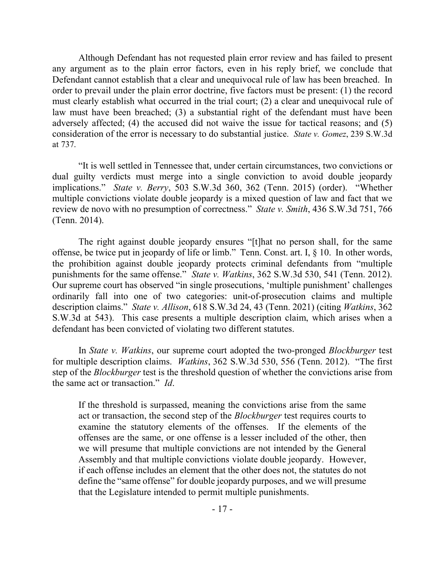Although Defendant has not requested plain error review and has failed to present any argument as to the plain error factors, even in his reply brief, we conclude that Defendant cannot establish that a clear and unequivocal rule of law has been breached. In order to prevail under the plain error doctrine, five factors must be present: (1) the record must clearly establish what occurred in the trial court; (2) a clear and unequivocal rule of law must have been breached; (3) a substantial right of the defendant must have been adversely affected; (4) the accused did not waive the issue for tactical reasons; and (5) consideration of the error is necessary to do substantial justice. *State v. Gomez*, 239 S.W.3d at 737.

"It is well settled in Tennessee that, under certain circumstances, two convictions or dual guilty verdicts must merge into a single conviction to avoid double jeopardy implications." *State v. Berry*, 503 S.W.3d 360, 362 (Tenn. 2015) (order). "Whether multiple convictions violate double jeopardy is a mixed question of law and fact that we review de novo with no presumption of correctness." *State v. Smith*, 436 S.W.3d 751, 766 (Tenn. 2014).

The right against double jeopardy ensures "[t]hat no person shall, for the same offense, be twice put in jeopardy of life or limb." Tenn. Const. art. I, § 10. In other words, the prohibition against double jeopardy protects criminal defendants from "multiple punishments for the same offense." *State v. Watkins*, 362 S.W.3d 530, 541 (Tenn. 2012). Our supreme court has observed "in single prosecutions, 'multiple punishment' challenges ordinarily fall into one of two categories: unit-of-prosecution claims and multiple description claims." *State v. Allison*, 618 S.W.3d 24, 43 (Tenn. 2021) (citing *Watkins*, 362 S.W.3d at 543). This case presents a multiple description claim, which arises when a defendant has been convicted of violating two different statutes.

In *State v. Watkins*, our supreme court adopted the two-pronged *Blockburger* test for multiple description claims. *Watkins*, 362 S.W.3d 530, 556 (Tenn. 2012). "The first step of the *Blockburger* test is the threshold question of whether the convictions arise from the same act or transaction." *Id*.

If the threshold is surpassed, meaning the convictions arise from the same act or transaction, the second step of the *Blockburger* test requires courts to examine the statutory elements of the offenses. If the elements of the offenses are the same, or one offense is a lesser included of the other, then we will presume that multiple convictions are not intended by the General Assembly and that multiple convictions violate double jeopardy. However, if each offense includes an element that the other does not, the statutes do not define the "same offense" for double jeopardy purposes, and we will presume that the Legislature intended to permit multiple punishments.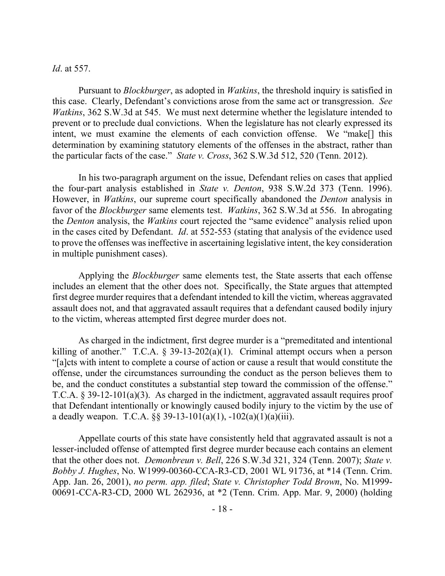### *Id*. at 557.

Pursuant to *Blockburger*, as adopted in *Watkins*, the threshold inquiry is satisfied in this case. Clearly, Defendant's convictions arose from the same act or transgression. *See Watkins*, 362 S.W.3d at 545. We must next determine whether the legislature intended to prevent or to preclude dual convictions. When the legislature has not clearly expressed its intent, we must examine the elements of each conviction offense. We "make[] this determination by examining statutory elements of the offenses in the abstract, rather than the particular facts of the case." *State v. Cross*, 362 S.W.3d 512, 520 (Tenn. 2012).

In his two-paragraph argument on the issue, Defendant relies on cases that applied the four-part analysis established in *State v. Denton*, 938 S.W.2d 373 (Tenn. 1996). However, in *Watkins*, our supreme court specifically abandoned the *Denton* analysis in favor of the *Blockburger* same elements test. *Watkins*, 362 S.W.3d at 556. In abrogating the *Denton* analysis, the *Watkins* court rejected the "same evidence" analysis relied upon in the cases cited by Defendant. *Id*. at 552-553 (stating that analysis of the evidence used to prove the offenses was ineffective in ascertaining legislative intent, the key consideration in multiple punishment cases).

Applying the *Blockburger* same elements test, the State asserts that each offense includes an element that the other does not. Specifically, the State argues that attempted first degree murder requires that a defendant intended to kill the victim, whereas aggravated assault does not, and that aggravated assault requires that a defendant caused bodily injury to the victim, whereas attempted first degree murder does not.

As charged in the indictment, first degree murder is a "premeditated and intentional killing of another." T.C.A.  $\S$  39-13-202(a)(1). Criminal attempt occurs when a person "[a]cts with intent to complete a course of action or cause a result that would constitute the offense, under the circumstances surrounding the conduct as the person believes them to be, and the conduct constitutes a substantial step toward the commission of the offense." T.C.A. § 39-12-101(a)(3). As charged in the indictment, aggravated assault requires proof that Defendant intentionally or knowingly caused bodily injury to the victim by the use of a deadly weapon. T.C.A.  $\S$ § 39-13-101(a)(1), -102(a)(1)(a)(iii).

Appellate courts of this state have consistently held that aggravated assault is not a lesser-included offense of attempted first degree murder because each contains an element that the other does not. *Demonbreun v. Bell*, 226 S.W.3d 321, 324 (Tenn. 2007); *State v. Bobby J. Hughes*, No. W1999-00360-CCA-R3-CD, 2001 WL 91736, at \*14 (Tenn. Crim. App. Jan. 26, 2001), *no perm. app. filed*; *State v. Christopher Todd Brown*, No. M1999- 00691-CCA-R3-CD, 2000 WL 262936, at \*2 (Tenn. Crim. App. Mar. 9, 2000) (holding